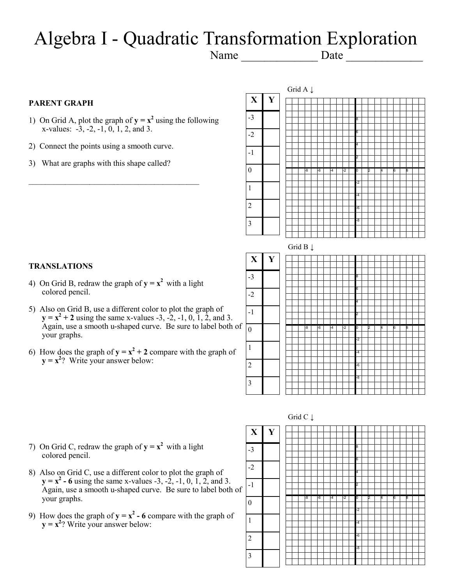# Algebra I - Quadratic Transformation Exploration

Name \_\_\_\_\_\_\_\_\_\_\_\_\_ Date \_\_\_\_\_\_\_\_\_\_\_\_\_

-1

 $\theta$ 

1

2

3

### **PARENT GRAPH**

- 1) On Grid A, plot the graph of  $y = x^2$  using the following x-values: -3, -2, -1, 0, 1, 2, and 3.
- 2) Connect the points using a smooth curve.
- 3) What are graphs with this shape called?

 $\mathcal{L}_\text{max}$  , and the set of the set of the set of the set of the set of the set of the set of the set of the set of the set of the set of the set of the set of the set of the set of the set of the set of the set of the



### **TRANSLATIONS**

- 4) On Grid B, redraw the graph of  $y = x^2$  with a light colored pencil.
- 5) Also on Grid B, use a different color to plot the graph of  $y = x^2 + 2$  using the same x-values -3, -2, -1, 0, 1, 2, and 3. Again, use a smooth u-shaped curve. Be sure to label both of your graphs.
- 6) How does the graph of  $y = x^2 + 2$  compare with the graph of  $y = x^2$ ? Write your answer below:



- 7) On Grid C, redraw the graph of  $y = x^2$  with a light colored pencil.
- 8) Also on Grid C, use a different color to plot the graph of  $y = x^2 - 6$  using the same x-values -3, -2, -1, 0, 1, 2, and 3. Again, use a smooth u-shaped curve. Be sure to label both of your graphs.
- 9) How does the graph of  $y = x^2 6$  compare with the graph of  $y = x^2$ ? Write your answer below:

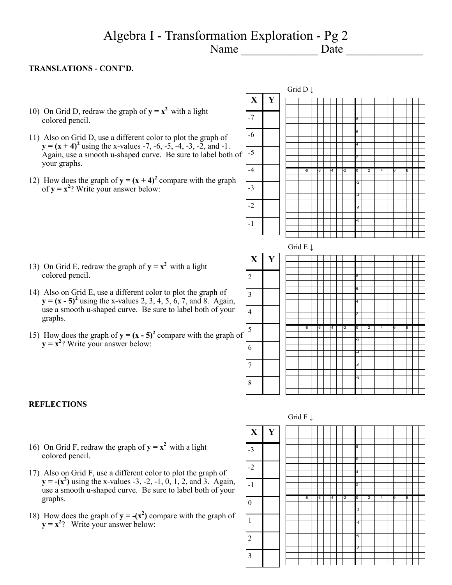### Algebra I - Transformation Exploration - Pg 2 Name \_\_\_\_\_\_\_\_\_\_\_\_\_ Date \_\_\_\_\_\_\_\_\_\_\_\_\_

3

4

6

7

8

### **TRANSLATIONS - CONT'D.**

- 10) On Grid D, redraw the graph of  $y = x^2$  with a light colored pencil.
- 11) Also on Grid D, use a different color to plot the graph of  $y = (x + 4)^2$  using the x-values -7, -6, -5, -4, -3, -2, and -1. Again, use a smooth u-shaped curve. Be sure to label both of your graphs.
- 12) How does the graph of  $y = (x + 4)^2$  compare with the graph of  $y = x^2$ ? Write your answer below:



- 13) On Grid E, redraw the graph of  $y = x^2$  with a light colored pencil.
- 14) Also on Grid E, use a different color to plot the graph of  $y = (x - 5)^2$  using the x-values 2, 3, 4, 5, 6, 7, and 8. Again, use a smooth u-shaped curve. Be sure to label both of your graphs.
- 15) How does the graph of  $y = (x 5)^2$  compare with the graph of  $y = x^2$ ? Write your answer below: 5



#### **REFLECTIONS**

- 16) On Grid F, redraw the graph of  $y = x^2$  with a light colored pencil.
- 17) Also on Grid F, use a different color to plot the graph of  $y = -(x^2)$  using the x-values -3, -2, -1, 0, 1, 2, and 3. Again, use a smooth u-shaped curve. Be sure to label both of your graphs.
- 18) How does the graph of  $y = -(x^2)$  compare with the graph of  $y = x^2$ ? Write your answer below:

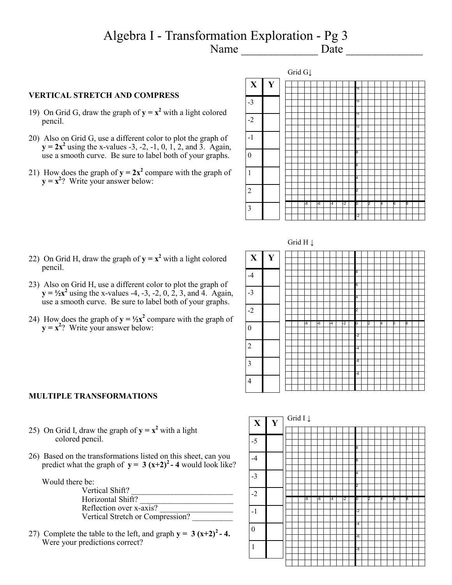### Algebra I - Transformation Exploration - Pg 3<br>Name Date  $Name \_$

### **VERTICAL STRETCH AND COMPRESS**

- 19) On Grid G, draw the graph of  $y = x^2$  with a light colored pencil.
- 20) Also on Grid G, use a different color to plot the graph of  $y = 2x^2$  using the x-values -3, -2, -1, 0, 1, 2, and 3. Again, use a smooth curve. Be sure to label both of your graphs.
- 21) How does the graph of  $y = 2x^2$  compare with the graph of  $y = x^2$ ? Write your answer below:



Grid H ↓

- 8 6 4 2 -8 | -6 | -4 | -2 | 0 | 2 | 4 | 6 | 8 -2 -4 -6  $\overline{\phantom{a}}$ -8 **X Y** -4 -3 -2 0 2 3 4
- 22) On Grid H, draw the graph of  $y = x^2$  with a light colored pencil.
- 23) Also on Grid H, use a different color to plot the graph of  $y = \frac{1}{2}x^2$  using the x-values -4, -3, -2, 0, 2, 3, and 4. Again, use a smooth curve. Be sure to label both of your graphs.
- 24) How does the graph of  $y = \frac{1}{2}x^2$  compare with the graph of  $y = x^2$ ? Write your answer below:

#### **MULTIPLE TRANSFORMATIONS**

- 25) On Grid I, draw the graph of  $y = x^2$  with a light colored pencil.
- 26) Based on the transformations listed on this sheet, can you predict what the graph of  $y = 3(x+2)^2 - 4$  would look like?

Would there be:

| Vertical Shift?                  |  |  |  |
|----------------------------------|--|--|--|
| Horizontal Shift?                |  |  |  |
| Reflection over x-axis?          |  |  |  |
| Vertical Stretch or Compression? |  |  |  |

27) Complete the table to the left, and graph  $y = 3(x+2)^2 - 4$ . Were your predictions correct?